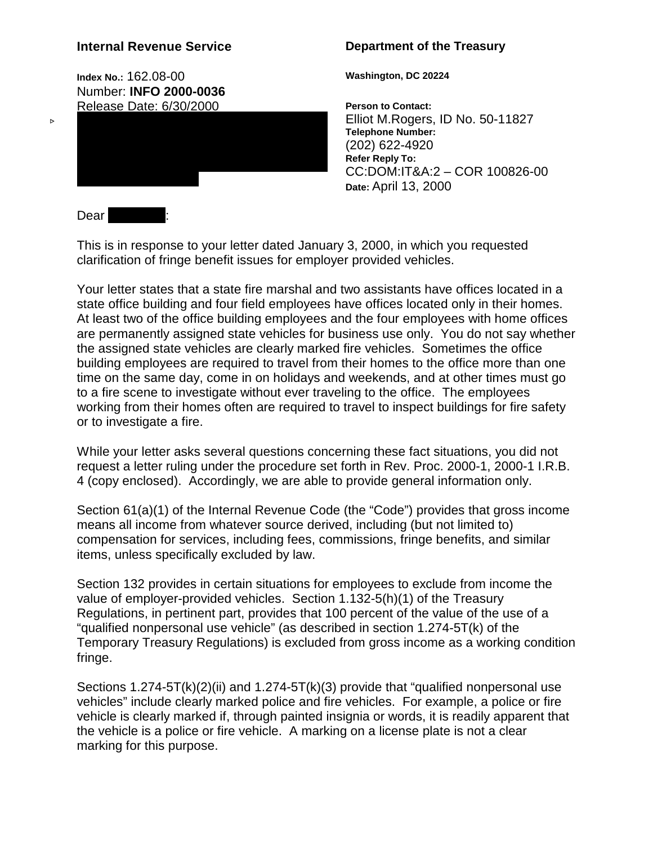# **Internal Revenue Service**

**Index No.:** 162.08-00 Number: **INFO 2000-0036** Release Date: 6/30/2000

## **Department of the Treasury**

**Washington, DC 20224**

**Person to Contact:** Elliot M.Rogers, ID No. 50-11827 **Telephone Number:** (202) 622-4920 **Refer Reply To:** CC:DOM:IT&A:2 – COR 100826-00 **Date:** April 13, 2000

Dear

 $\triangleright$ 

This is in response to your letter dated January 3, 2000, in which you requested clarification of fringe benefit issues for employer provided vehicles.

Your letter states that a state fire marshal and two assistants have offices located in a state office building and four field employees have offices located only in their homes. At least two of the office building employees and the four employees with home offices are permanently assigned state vehicles for business use only. You do not say whether the assigned state vehicles are clearly marked fire vehicles. Sometimes the office building employees are required to travel from their homes to the office more than one time on the same day, come in on holidays and weekends, and at other times must go to a fire scene to investigate without ever traveling to the office. The employees working from their homes often are required to travel to inspect buildings for fire safety or to investigate a fire.

While your letter asks several questions concerning these fact situations, you did not request a letter ruling under the procedure set forth in Rev. Proc. 2000-1, 2000-1 I.R.B. 4 (copy enclosed). Accordingly, we are able to provide general information only.

Section 61(a)(1) of the Internal Revenue Code (the "Code") provides that gross income means all income from whatever source derived, including (but not limited to) compensation for services, including fees, commissions, fringe benefits, and similar items, unless specifically excluded by law.

Section 132 provides in certain situations for employees to exclude from income the value of employer-provided vehicles. Section 1.132-5(h)(1) of the Treasury Regulations, in pertinent part, provides that 100 percent of the value of the use of a "qualified nonpersonal use vehicle" (as described in section 1.274-5T(k) of the Temporary Treasury Regulations) is excluded from gross income as a working condition fringe.

Sections 1.274-5T(k)(2)(ii) and 1.274-5T(k)(3) provide that "qualified nonpersonal use vehicles" include clearly marked police and fire vehicles. For example, a police or fire vehicle is clearly marked if, through painted insignia or words, it is readily apparent that the vehicle is a police or fire vehicle. A marking on a license plate is not a clear marking for this purpose.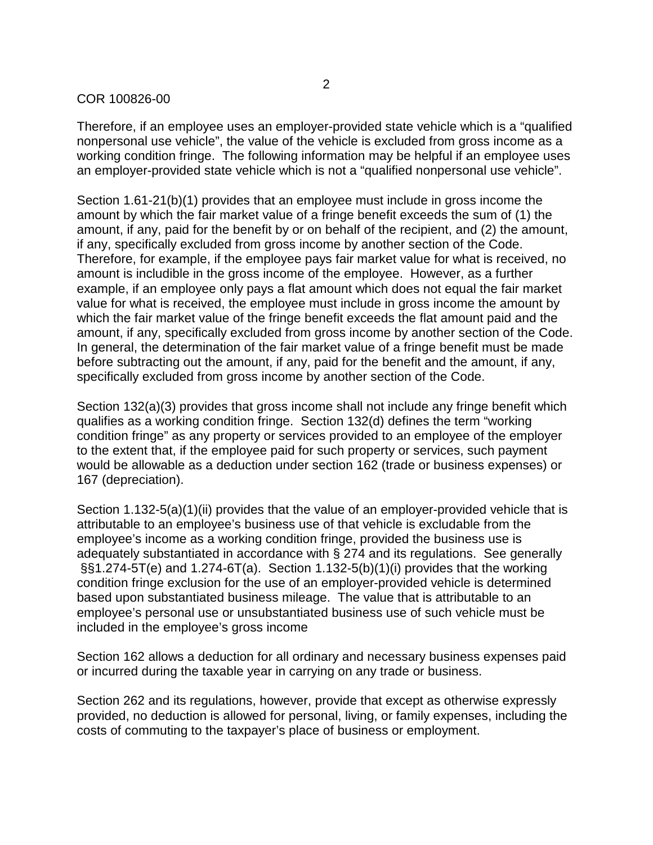#### COR 100826-00

Therefore, if an employee uses an employer-provided state vehicle which is a "qualified nonpersonal use vehicle", the value of the vehicle is excluded from gross income as a working condition fringe. The following information may be helpful if an employee uses an employer-provided state vehicle which is not a "qualified nonpersonal use vehicle".

Section 1.61-21(b)(1) provides that an employee must include in gross income the amount by which the fair market value of a fringe benefit exceeds the sum of (1) the amount, if any, paid for the benefit by or on behalf of the recipient, and (2) the amount, if any, specifically excluded from gross income by another section of the Code. Therefore, for example, if the employee pays fair market value for what is received, no amount is includible in the gross income of the employee. However, as a further example, if an employee only pays a flat amount which does not equal the fair market value for what is received, the employee must include in gross income the amount by which the fair market value of the fringe benefit exceeds the flat amount paid and the amount, if any, specifically excluded from gross income by another section of the Code. In general, the determination of the fair market value of a fringe benefit must be made before subtracting out the amount, if any, paid for the benefit and the amount, if any, specifically excluded from gross income by another section of the Code.

Section 132(a)(3) provides that gross income shall not include any fringe benefit which qualifies as a working condition fringe. Section 132(d) defines the term "working condition fringe" as any property or services provided to an employee of the employer to the extent that, if the employee paid for such property or services, such payment would be allowable as a deduction under section 162 (trade or business expenses) or 167 (depreciation).

Section 1.132-5(a)(1)(ii) provides that the value of an employer-provided vehicle that is attributable to an employee's business use of that vehicle is excludable from the employee's income as a working condition fringe, provided the business use is adequately substantiated in accordance with § 274 and its regulations. See generally §§1.274-5T(e) and 1.274-6T(a). Section 1.132-5(b)(1)(i) provides that the working condition fringe exclusion for the use of an employer-provided vehicle is determined based upon substantiated business mileage. The value that is attributable to an employee's personal use or unsubstantiated business use of such vehicle must be included in the employee's gross income

Section 162 allows a deduction for all ordinary and necessary business expenses paid or incurred during the taxable year in carrying on any trade or business.

Section 262 and its regulations, however, provide that except as otherwise expressly provided, no deduction is allowed for personal, living, or family expenses, including the costs of commuting to the taxpayer's place of business or employment.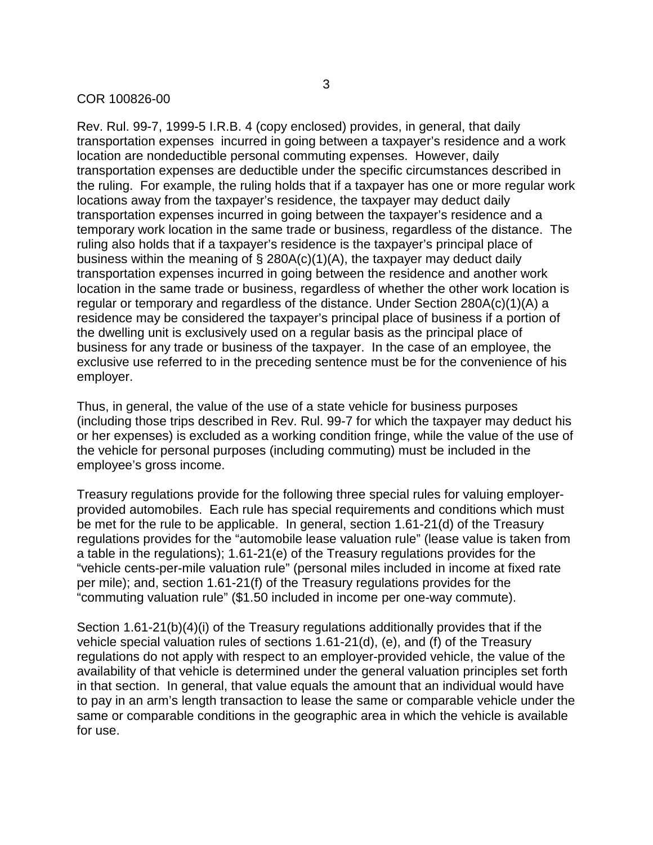#### COR 100826-00

Rev. Rul. 99-7, 1999-5 I.R.B. 4 (copy enclosed) provides, in general, that daily transportation expenses incurred in going between a taxpayer's residence and a work location are nondeductible personal commuting expenses. However, daily transportation expenses are deductible under the specific circumstances described in the ruling. For example, the ruling holds that if a taxpayer has one or more regular work locations away from the taxpayer's residence, the taxpayer may deduct daily transportation expenses incurred in going between the taxpayer's residence and a temporary work location in the same trade or business, regardless of the distance. The ruling also holds that if a taxpayer's residence is the taxpayer's principal place of business within the meaning of  $\S$  280A(c)(1)(A), the taxpayer may deduct daily transportation expenses incurred in going between the residence and another work location in the same trade or business, regardless of whether the other work location is regular or temporary and regardless of the distance. Under Section 280A(c)(1)(A) a residence may be considered the taxpayer's principal place of business if a portion of the dwelling unit is exclusively used on a regular basis as the principal place of business for any trade or business of the taxpayer. In the case of an employee, the exclusive use referred to in the preceding sentence must be for the convenience of his employer.

Thus, in general, the value of the use of a state vehicle for business purposes (including those trips described in Rev. Rul. 99-7 for which the taxpayer may deduct his or her expenses) is excluded as a working condition fringe, while the value of the use of the vehicle for personal purposes (including commuting) must be included in the employee's gross income.

Treasury regulations provide for the following three special rules for valuing employerprovided automobiles. Each rule has special requirements and conditions which must be met for the rule to be applicable. In general, section 1.61-21(d) of the Treasury regulations provides for the "automobile lease valuation rule" (lease value is taken from a table in the regulations); 1.61-21(e) of the Treasury regulations provides for the "vehicle cents-per-mile valuation rule" (personal miles included in income at fixed rate per mile); and, section 1.61-21(f) of the Treasury regulations provides for the "commuting valuation rule" (\$1.50 included in income per one-way commute).

Section 1.61-21(b)(4)(i) of the Treasury regulations additionally provides that if the vehicle special valuation rules of sections 1.61-21(d), (e), and (f) of the Treasury regulations do not apply with respect to an employer-provided vehicle, the value of the availability of that vehicle is determined under the general valuation principles set forth in that section. In general, that value equals the amount that an individual would have to pay in an arm's length transaction to lease the same or comparable vehicle under the same or comparable conditions in the geographic area in which the vehicle is available for use.